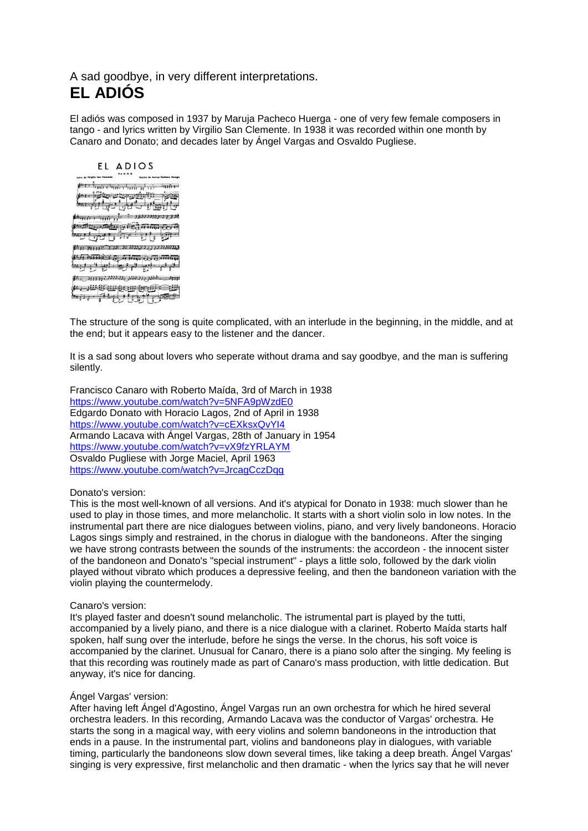# A sad goodbye, in very different interpretations. **EL ADIÓS**

El adiós was composed in 1937 by Maruja Pacheco Huerga - one of very few female composers in tango - and lyrics written by Virgilio San Clemente. In 1938 it was recorded within one month by Canaro and Donato; and decades later by Ángel Vargas and Osvaldo Pugliese.

## EL ADIOS

 $\frac{1}{2}$  and  $\frac{1}{2}$  and  $\frac{1}{2}$  and  $\frac{1}{2}$  and  $\frac{1}{2}$  and  $\frac{1}{2}$ می از استان است استان استان<br>برازان استان با استان استان استان Key and a the first time a time of *டைக்கு கூட்*புக்குத்திரிக்கு குடு בגבננגנג בק קבונגנגנג גל אבר או זו זו או או  $\#H$  associated  $B_1$  ,  $B_2$  ,  $B_3$  as a  $B_4$  and  $B_5$ لخوفين فون فنوق فناولونو ومعط  $\{h_1, h_2, h_3, h_4, h_5, h_6, h_7, h_8, h_9, h_{10}, h_{11}, h_{12}, h_{13}, h_{14}, h_{15}, h_{16}, h_{17}, h_{18}, h_{19}, h_{10}, h_{11}, h_{12}, h_{13}, h_{14}, h_{15}, h_{16}, h_{17}, h_{18}, h_{19}, h_{10}, h_{11}, h_{12}, h_{13}, h_{14}, h_{15}, h_{16}, h_{17}, h_{18}, h_{19}, h_{10}, h_{11}, h_{12}, h_{13}, h_{14}, h_{15}, h_{$ 

The structure of the song is quite complicated, with an interlude in the beginning, in the middle, and at the end; but it appears easy to the listener and the dancer.

It is a sad song about lovers who seperate without drama and say goodbye, and the man is suffering silently.

Francisco Canaro with Roberto Maída, 3rd of March in 1938 <https://www.youtube.com/watch?v=5NFA9pWzdE0> Edgardo Donato with Horacio Lagos, 2nd of April in 1938 <https://www.youtube.com/watch?v=cEXksxQvYI4> Armando Lacava with Ángel Vargas, 28th of January in 1954 <https://www.youtube.com/watch?v=vX9fzYRLAYM> Osvaldo Pugliese with Jorge Maciel, April 1963 <https://www.youtube.com/watch?v=JrcagCczDqg>

### Donato's version:

This is the most well-known of all versions. And it's atypical for Donato in 1938: much slower than he used to play in those times, and more melancholic. It starts with a short violin solo in low notes. In the instrumental part there are nice dialogues between violins, piano, and very lively bandoneons. Horacio Lagos sings simply and restrained, in the chorus in dialogue with the bandoneons. After the singing we have strong contrasts between the sounds of the instruments: the accordeon - the innocent sister of the bandoneon and Donato's "special instrument" - plays a little solo, followed by the dark violin played without vibrato which produces a depressive feeling, and then the bandoneon variation with the violin playing the countermelody.

#### Canaro's version:

It's played faster and doesn't sound melancholic. The istrumental part is played by the tutti, accompanied by a lively piano, and there is a nice dialogue with a clarinet. Roberto Maída starts half spoken, half sung over the interlude, before he sings the verse. In the chorus, his soft voice is accompanied by the clarinet. Unusual for Canaro, there is a piano solo after the singing. My feeling is that this recording was routinely made as part of Canaro's mass production, with little dedication. But anyway, it's nice for dancing.

## Ángel Vargas' version:

After having left Ángel d'Agostino, Ángel Vargas run an own orchestra for which he hired several orchestra leaders. In this recording, Armando Lacava was the conductor of Vargas' orchestra. He starts the song in a magical way, with eery violins and solemn bandoneons in the introduction that ends in a pause. In the instrumental part, violins and bandoneons play in dialogues, with variable timing, particularly the bandoneons slow down several times, like taking a deep breath. Ángel Vargas' singing is very expressive, first melancholic and then dramatic - when the lyrics say that he will never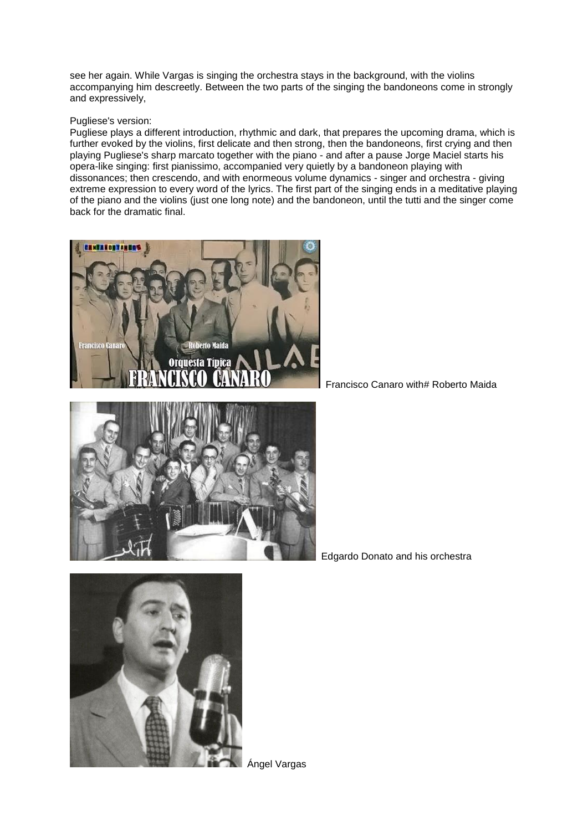see her again. While Vargas is singing the orchestra stays in the background, with the violins accompanying him descreetly. Between the two parts of the singing the bandoneons come in strongly and expressively,

## Pugliese's version:

Pugliese plays a different introduction, rhythmic and dark, that prepares the upcoming drama, which is further evoked by the violins, first delicate and then strong, then the bandoneons, first crying and then playing Pugliese's sharp marcato together with the piano - and after a pause Jorge Maciel starts his opera-like singing: first pianissimo, accompanied very quietly by a bandoneon playing with dissonances; then crescendo, and with enormeous volume dynamics - singer and orchestra - giving extreme expression to every word of the lyrics. The first part of the singing ends in a meditative playing of the piano and the violins (just one long note) and the bandoneon, until the tutti and the singer come back for the dramatic final.





Edgardo Donato and his orchestra

Francisco Canaro with# Roberto Maida



Ángel Vargas